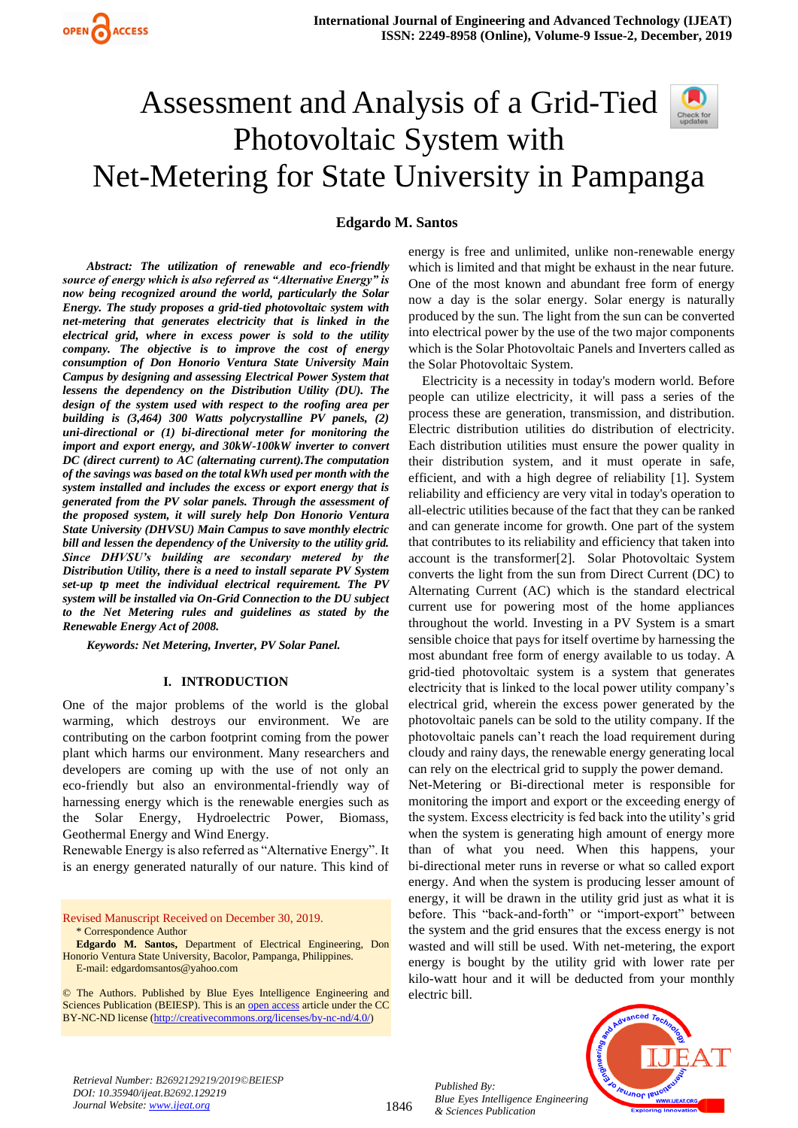# Assessment and Analysis of a Grid-Tied Photovoltaic System with Net-Metering for State University in Pampanga

# **Edgardo M. Santos**

*Abstract: The utilization of renewable and eco-friendly source of energy which is also referred as "Alternative Energy" is now being recognized around the world, particularly the Solar Energy. The study proposes a grid-tied photovoltaic system with net-metering that generates electricity that is linked in the electrical grid, where in excess power is sold to the utility company. The objective is to improve the cost of energy consumption of Don Honorio Ventura State University Main Campus by designing and assessing Electrical Power System that lessens the dependency on the Distribution Utility (DU). The design of the system used with respect to the roofing area per building is (3,464) 300 Watts polycrystalline PV panels, (2) uni-directional or (1) bi-directional meter for monitoring the import and export energy, and 30kW-100kW inverter to convert DC (direct current) to AC (alternating current).The computation of the savings was based on the total kWh used per month with the system installed and includes the excess or export energy that is generated from the PV solar panels. Through the assessment of the proposed system, it will surely help Don Honorio Ventura State University (DHVSU) Main Campus to save monthly electric bill and lessen the dependency of the University to the utility grid. Since DHVSU's building are secondary metered by the Distribution Utility, there is a need to install separate PV System set-up tp meet the individual electrical requirement. The PV system will be installed via On-Grid Connection to the DU subject to the Net Metering rules and guidelines as stated by the Renewable Energy Act of 2008.* 

*Keywords: Net Metering, Inverter, PV Solar Panel.*

### **I. INTRODUCTION**

One of the major problems of the world is the global warming, which destroys our environment. We are contributing on the carbon footprint coming from the power plant which harms our environment. Many researchers and developers are coming up with the use of not only an eco-friendly but also an environmental-friendly way of harnessing energy which is the renewable energies such as the Solar Energy, Hydroelectric Power, Biomass, Geothermal Energy and Wind Energy.

Renewable Energy is also referred as "Alternative Energy". It is an energy generated naturally of our nature. This kind of

Revised Manuscript Received on December 30, 2019. \* Correspondence Author

**Edgardo M. Santos,** Department of Electrical Engineering, Don Honorio Ventura State University, Bacolor, Pampanga, Philippines. E-mail: edgardomsantos@yahoo.com

© The Authors. Published by Blue Eyes Intelligence Engineering and Sciences Publication (BEIESP). This is a[n open access](https://www.openaccess.nl/en/open-publications) article under the CC BY-NC-ND license [\(http://creativecommons.org/licenses/by-nc-nd/4.0/\)](http://creativecommons.org/licenses/by-nc-nd/4.0/)

energy is free and unlimited, unlike non-renewable energy which is limited and that might be exhaust in the near future. One of the most known and abundant free form of energy now a day is the solar energy. Solar energy is naturally produced by the sun. The light from the sun can be converted into electrical power by the use of the two major components which is the Solar Photovoltaic Panels and Inverters called as the Solar Photovoltaic System.

Electricity is a necessity in today's modern world. Before people can utilize electricity, it will pass a series of the process these are generation, transmission, and distribution. Electric distribution utilities do distribution of electricity. Each distribution utilities must ensure the power quality in their distribution system, and it must operate in safe, efficient, and with a high degree of reliability [1]. System reliability and efficiency are very vital in today's operation to all-electric utilities because of the fact that they can be ranked and can generate income for growth. One part of the system that contributes to its reliability and efficiency that taken into account is the transformer[2]. Solar Photovoltaic System converts the light from the sun from Direct Current (DC) to Alternating Current (AC) which is the standard electrical current use for powering most of the home appliances throughout the world. Investing in a PV System is a smart sensible choice that pays for itself overtime by harnessing the most abundant free form of energy available to us today. A grid-tied photovoltaic system is a system that generates electricity that is linked to the local power utility company's electrical grid, wherein the excess power generated by the photovoltaic panels can be sold to the utility company. If the photovoltaic panels can't reach the load requirement during cloudy and rainy days, the renewable energy generating local can rely on the electrical grid to supply the power demand.

Net-Metering or Bi-directional meter is responsible for monitoring the import and export or the exceeding energy of the system. Excess electricity is fed back into the utility's grid when the system is generating high amount of energy more than of what you need. When this happens, your bi-directional meter runs in reverse or what so called export energy. And when the system is producing lesser amount of energy, it will be drawn in the utility grid just as what it is before. This "back-and-forth" or "import-export" between the system and the grid ensures that the excess energy is not wasted and will still be used. With net-metering, the export energy is bought by the utility grid with lower rate per kilo-watt hour and it will be deducted from your monthly electric bill.



1846

*Published By: Blue Eyes Intelligence Engineering & Sciences Publication* 

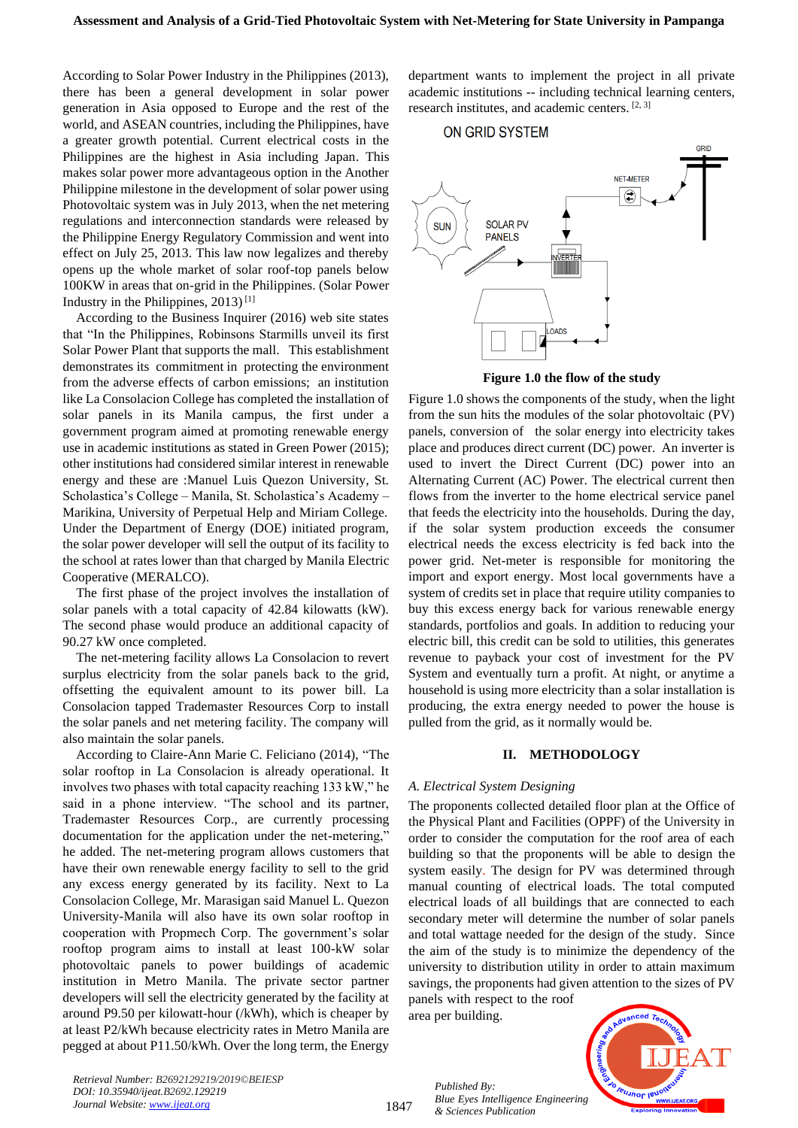According to Solar Power Industry in the Philippines (2013), there has been a general development in solar power generation in Asia opposed to Europe and the rest of the world, and ASEAN countries, including the Philippines, have a greater growth potential. Current electrical costs in the Philippines are the highest in Asia including Japan. This makes solar power more advantageous option in the Another Philippine milestone in the development of solar power using Photovoltaic system was in July 2013, when the net metering regulations and interconnection standards were released by the Philippine Energy Regulatory Commission and went into effect on July 25, 2013. This law now legalizes and thereby opens up the whole market of solar roof-top panels below 100KW in areas that on-grid in the Philippines. (Solar Power Industry in the Philippines, 2013) [1]

According to the Business Inquirer (2016) web site states that "In the Philippines, Robinsons Starmills unveil its first Solar Power Plant that supports the mall. This establishment demonstrates its commitment in protecting the environment from the adverse effects of carbon emissions; an institution like La Consolacion College has completed the installation of solar panels in its Manila campus, the first under a government program aimed at promoting renewable energy use in academic institutions as stated in Green Power (2015); other institutions had considered similar interest in renewable energy and these are :Manuel Luis Quezon University, St. Scholastica's College – Manila, St. Scholastica's Academy – Marikina, University of Perpetual Help and Miriam College. Under the Department of Energy (DOE) initiated program, the solar power developer will sell the output of its facility to the school at rates lower than that charged by Manila Electric Cooperative (MERALCO).

The first phase of the project involves the installation of solar panels with a total capacity of 42.84 kilowatts (kW). The second phase would produce an additional capacity of 90.27 kW once completed.

The net-metering facility allows La Consolacion to revert surplus electricity from the solar panels back to the grid, offsetting the equivalent amount to its power bill. La Consolacion tapped Trademaster Resources Corp to install the solar panels and net metering facility. The company will also maintain the solar panels.

According to Claire-Ann Marie C. Feliciano (2014), "The solar rooftop in La Consolacion is already operational. It involves two phases with total capacity reaching 133 kW," he said in a phone interview. "The school and its partner, Trademaster Resources Corp., are currently processing documentation for the application under the net-metering," he added. The net-metering program allows customers that have their own renewable energy facility to sell to the grid any excess energy generated by its facility. Next to La Consolacion College, Mr. Marasigan said Manuel L. Quezon University-Manila will also have its own solar rooftop in cooperation with Propmech Corp. The government's solar rooftop program aims to install at least 100-kW solar photovoltaic panels to power buildings of academic institution in Metro Manila. The private sector partner developers will sell the electricity generated by the facility at around P9.50 per kilowatt-hour (/kWh), which is cheaper by at least P2/kWh because electricity rates in Metro Manila are pegged at about P11.50/kWh. Over the long term, the Energy department wants to implement the project in all private academic institutions -- including technical learning centers, research institutes, and academic centers. [2, 3]

#### ON GRID SYSTEM



**Figure 1.0 the flow of the study**

Figure 1.0 shows the components of the study, when the light from the sun hits the modules of the solar photovoltaic (PV) panels, conversion of the solar energy into electricity takes place and produces direct current (DC) power. An inverter is used to invert the Direct Current (DC) power into an Alternating Current (AC) Power. The electrical current then flows from the inverter to the home electrical service panel that feeds the electricity into the households. During the day, if the solar system production exceeds the consumer electrical needs the excess electricity is fed back into the power grid. Net-meter is responsible for monitoring the import and export energy. Most local governments have a system of credits set in place that require utility companies to buy this excess energy back for various renewable energy standards, portfolios and goals. In addition to reducing your electric bill, this credit can be sold to utilities, this generates revenue to payback your cost of investment for the PV System and eventually turn a profit. At night, or anytime a household is using more electricity than a solar installation is producing, the extra energy needed to power the house is pulled from the grid, as it normally would be.

# **II. METHODOLOGY**

#### *A. Electrical System Designing*

The proponents collected detailed floor plan at the Office of the Physical Plant and Facilities (OPPF) of the University in order to consider the computation for the roof area of each building so that the proponents will be able to design the system easily. The design for PV was determined through manual counting of electrical loads. The total computed electrical loads of all buildings that are connected to each secondary meter will determine the number of solar panels and total wattage needed for the design of the study. Since the aim of the study is to minimize the dependency of the university to distribution utility in order to attain maximum savings, the proponents had given attention to the sizes of PV

panels with respect to the roof area per building.

*Published By:*

*& Sciences Publication* 

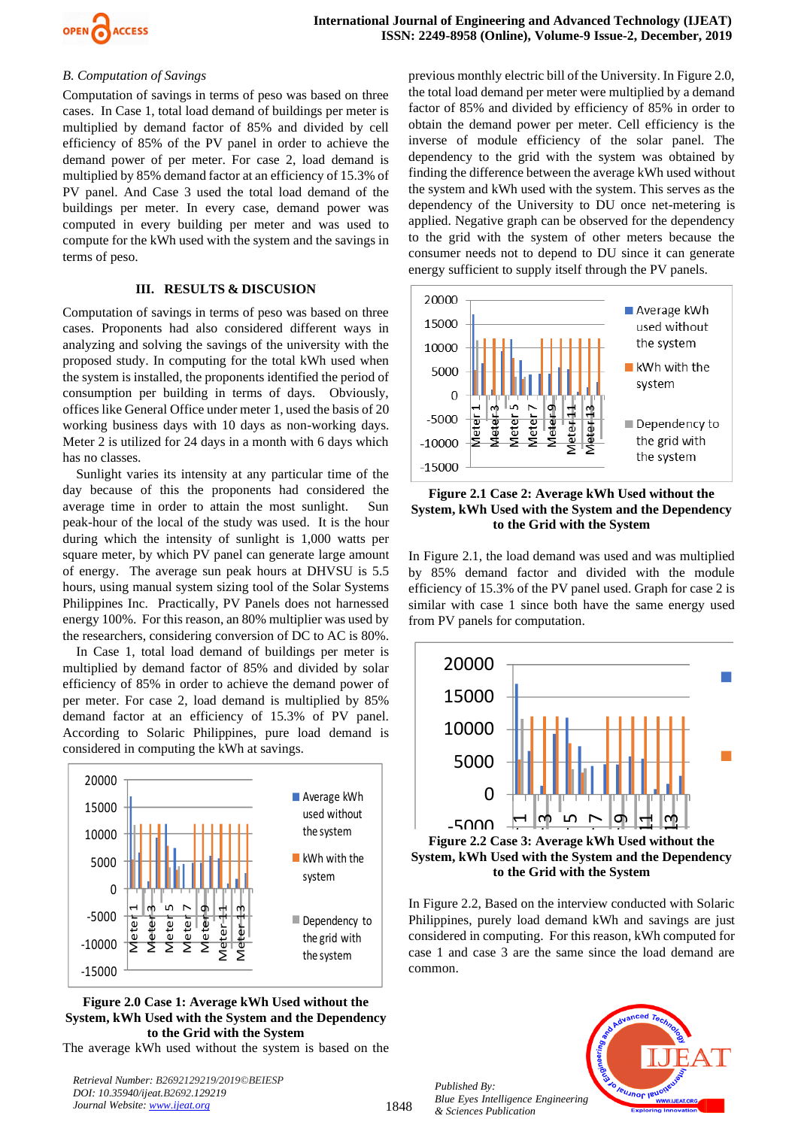

# *B. Computation of Savings*

Computation of savings in terms of peso was based on three cases. In Case 1, total load demand of buildings per meter is multiplied by demand factor of 85% and divided by cell efficiency of 85% of the PV panel in order to achieve the demand power of per meter. For case 2, load demand is multiplied by 85% demand factor at an efficiency of 15.3% of PV panel. And Case 3 used the total load demand of the buildings per meter. In every case, demand power was computed in every building per meter and was used to compute for the kWh used with the system and the savings in terms of peso.

# **III. RESULTS & DISCUSION**

Computation of savings in terms of peso was based on three cases. Proponents had also considered different ways in analyzing and solving the savings of the university with the proposed study. In computing for the total kWh used when the system is installed, the proponents identified the period of consumption per building in terms of days. Obviously, offices like General Office under meter 1, used the basis of 20 working business days with 10 days as non-working days. Meter 2 is utilized for 24 days in a month with 6 days which has no classes.

Sunlight varies its intensity at any particular time of the day because of this the proponents had considered the average time in order to attain the most sunlight. Sun peak-hour of the local of the study was used. It is the hour during which the intensity of sunlight is 1,000 watts per square meter, by which PV panel can generate large amount of energy. The average sun peak hours at DHVSU is 5.5 hours, using manual system sizing tool of the Solar Systems Philippines Inc. Practically, PV Panels does not harnessed energy 100%. For this reason, an 80% multiplier was used by the researchers, considering conversion of DC to AC is 80%.

In Case 1, total load demand of buildings per meter is multiplied by demand factor of 85% and divided by solar efficiency of 85% in order to achieve the demand power of per meter. For case 2, load demand is multiplied by 85% demand factor at an efficiency of 15.3% of PV panel. According to Solaric Philippines, pure load demand is considered in computing the kWh at savings.



**Figure 2.0 Case 1: Average kWh Used without the System, kWh Used with the System and the Dependency to the Grid with the System**

The average kWh used without the system is based on the

*Retrieval Number: B2692129219/2019©BEIESP DOI: 10.35940/ijeat.B2692.129219 Journal Website[: www.ijeat.org](http://www.ijeat.org/)*

previous monthly electric bill of the University. In Figure 2.0, the total load demand per meter were multiplied by a demand factor of 85% and divided by efficiency of 85% in order to obtain the demand power per meter. Cell efficiency is the inverse of module efficiency of the solar panel. The dependency to the grid with the system was obtained by finding the difference between the average kWh used without the system and kWh used with the system. This serves as the dependency of the University to DU once net-metering is applied. Negative graph can be observed for the dependency to the grid with the system of other meters because the consumer needs not to depend to DU since it can generate energy sufficient to supply itself through the PV panels.



**Figure 2.1 Case 2: Average kWh Used without the System, kWh Used with the System and the Dependency to the Grid with the System**

In Figure 2.1, the load demand was used and was multiplied by 85% demand factor and divided with the module efficiency of 15.3% of the PV panel used. Graph for case 2 is similar with case 1 since both have the same energy used from PV panels for computation.



e<mark>m, kWh</mark> l  $\begin{array}{c|c|c}\n\hline\n\text{H} & \text{M} & \text{M} \\
\hline\n\text{C} & \text{A} & \text{A} \\
\text{D} & \text{B} & \text{B} \\
\text{E} & \text{A} & \text{B} \\
\text{D} & \text{A} & \text{B} \\
\text{D} & \text{A} & \text{B} \\
\text{D} & \text{A} & \text{B} \\
\text{D} & \text{A} & \text{B} \\
\text{D} & \text{A} & \text{B} \\
\text{D} & \text{B} & \text{B} \\
\text{D} & \text{A} & \text{B} \\
\text$ **Figure 2.2 Case 3: Average kWh Used without the System, kWh Used with the System and the Dependency to the Grid with the System**

In Figure 2.2, Based on the interview conducted with Solaric Philippines, purely load demand kWh and savings are just considered in computing. For this reason, kWh computed for case 1 and case 3 are the same since the load demand are common.



*Published By: Blue Eyes Intelligence Engineering & Sciences Publication* 

1848